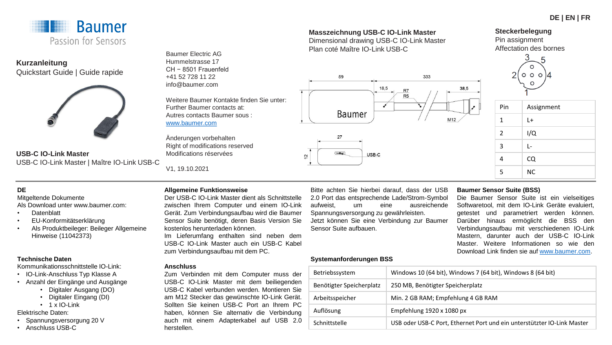

**Kurzanleitung** Quickstart Guide | Guide rapide



**USB-C IO-Link Master**  USB-C IO-Link Master | Maître IO-Link USB-C

Baumer Electric AG Hummelstrasse 17 CH − 8501 Frauenfeld +41 52 728 11 22 info@baumer.com

Weitere Baumer Kontakte finden Sie unter: Further Baumer contacts at: Autres contacts Baumer sous : [www.baumer.com](http://www.baumer.com/)

Änderungen vorbehalten Right of modifications reserved Modifications réservées

V1, 19.10.2021

**Masszeichnung USB-C IO-Link Master**  Dimensional drawing USB-C IO-Link Master Plan coté Maître IO-Link USB-C



# **Steckerbelegung**

Pin assignment Affectation des bornes



| Pin | Assignment |
|-----|------------|
| 1   | L+         |
| 2   | I/Q        |
| 3   | L-         |
| 4   | CQ         |
| 5   | <b>NC</b>  |

# **DE**

Mitgeltende Dokumente Als Download unter www.baumer.com:

- Datenblatt
- EU-Konformitätserklärung
- Als Produktbeileger: Beileger Allgemeine Hinweise (11042373)

#### **Technische Daten**

Kommunikationsschnittstelle IO-Link:

- IO-Link-Anschluss Typ Klasse A
- Anzahl der Eingänge und Ausgänge
	- Digitaler Ausgang (DO)
	- Digitaler Eingang (DI)
	- $\cdot$  1 x IO-Link

Elektrische Daten:

- Spannungsversorgung 20 V
- Anschluss USB-C

### **Allgemeine Funktionsweise**

Der USB-C IO-Link Master dient als Schnittstelle zwischen Ihrem Computer und einem IO-Link Gerät. Zum Verbindungsaufbau wird die Baumer Sensor Suite benötigt, deren Basis Version Sie kostenlos herunterladen können.

Im Lieferumfang enthalten sind neben dem USB-C IO-Link Master auch ein USB-C Kabel zum Verbindungsaufbau mit dem PC.

#### **Anschluss**

Zum Verbinden mit dem Computer muss der USB-C IO-Link Master mit dem beiliegenden USB-C Kabel verbunden werden. Montieren Sie am M12 Stecker das gewünschte IO-Link Gerät. Sollten Sie keinen USB-C Port an Ihrem PC haben, können Sie alternativ die Verbindung auch mit einem Adapterkabel auf USB 2.0 herstellen.

Bitte achten Sie hierbei darauf, dass der USB 2.0 Port das entsprechende Lade/Strom-Symbol aufweist, um eine ausreichende Spannungsversorgung zu gewährleisten. Jetzt können Sie eine Verbindung zur Baumer Sensor Suite aufbauen.

#### **Baumer Sensor Suite (BSS)**

Die Baumer Sensor Suite ist ein vielseitiges Softwaretool, mit dem IO-Link Geräte evaluiert, getestet und parametriert werden können. Darüber hinaus ermöglicht die BSS den Verbindungsaufbau mit verschiedenen IO-Link Mastern, darunter auch der USB-C IO-Link Master. Weitere Informationen so wie den Download Link finden sie auf [www.baumer.com](http://www.baumer.com/).

#### **Systemanforderungen BSS**

| Betriebssystem           | Windows 10 (64 bit), Windows 7 (64 bit), Windows 8 (64 bit)             |
|--------------------------|-------------------------------------------------------------------------|
| Benötigter Speicherplatz | 250 MB, Benötigter Speicherplatz                                        |
| Arbeitsspeicher          | Min. 2 GB RAM; Empfehlung 4 GB RAM                                      |
| Auflösung                | Empfehlung 1920 x 1080 px                                               |
| Schnittstelle            | USB oder USB-C Port, Ethernet Port und ein unterstützter IO-Link Master |